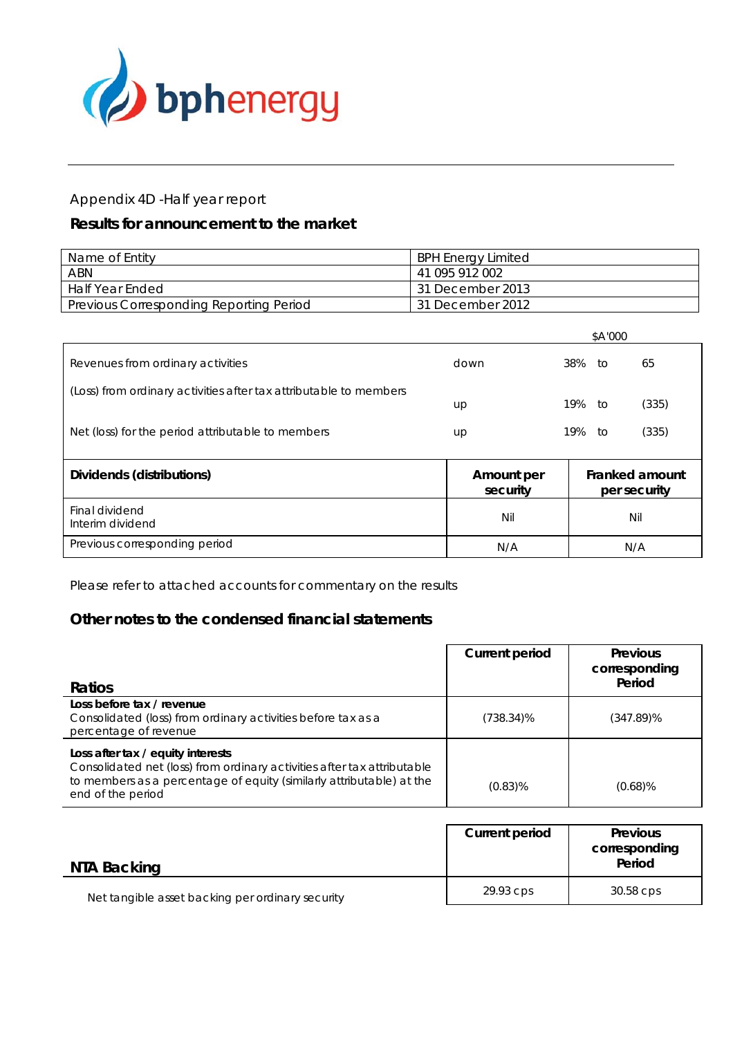

# Appendix 4D -Half year report

# *Results for announcement to the market*

| Name of Entity                          | <b>BPH Energy Limited</b> |
|-----------------------------------------|---------------------------|
| ABN                                     | 41 095 912 002            |
| Half Year Ended                         | 31 December 2013          |
| Previous Corresponding Reporting Period | 31 December 2012          |

|                                                                   |      |     | \$A'000 |       |
|-------------------------------------------------------------------|------|-----|---------|-------|
| Revenues from ordinary activities                                 | down | 38% | tΟ      | 65    |
| (Loss) from ordinary activities after tax attributable to members | up   | 19% | tΟ      | (335) |
| Net (loss) for the period attributable to members                 | up   | 19% | ŤΩ      | (335) |

| Dividends (distributions)          | Amount per<br>security | Franked amount<br>per security |
|------------------------------------|------------------------|--------------------------------|
| Final dividend<br>Interim dividend | Nil                    | Nil                            |
| Previous corresponding period      | N/A                    | N/A                            |

Please refer to attached accounts for commentary on the results

## **Other notes to the condensed financial statements**

| <b>Ratios</b>                                                                                                                                                                                             | <b>Current period</b> | <b>Previous</b><br>corresponding<br>Period |
|-----------------------------------------------------------------------------------------------------------------------------------------------------------------------------------------------------------|-----------------------|--------------------------------------------|
| Loss before tax / revenue<br>Consolidated (loss) from ordinary activities before tax as a<br>percentage of revenue                                                                                        | (738.34)%             | (347.89)%                                  |
| Loss after tax / equity interests<br>Consolidated net (loss) from ordinary activities after tax attributable<br>to members as a percentage of equity (similarly attributable) at the<br>end of the period | $(0.83)\%$            | $(0.68)\%$                                 |

| NTA Backing                                      | <b>Current period</b> | <b>Previous</b><br>corresponding<br>Period |
|--------------------------------------------------|-----------------------|--------------------------------------------|
| Net tangible asset backing per ordinary security | 29.93 cps             | 30.58 cps                                  |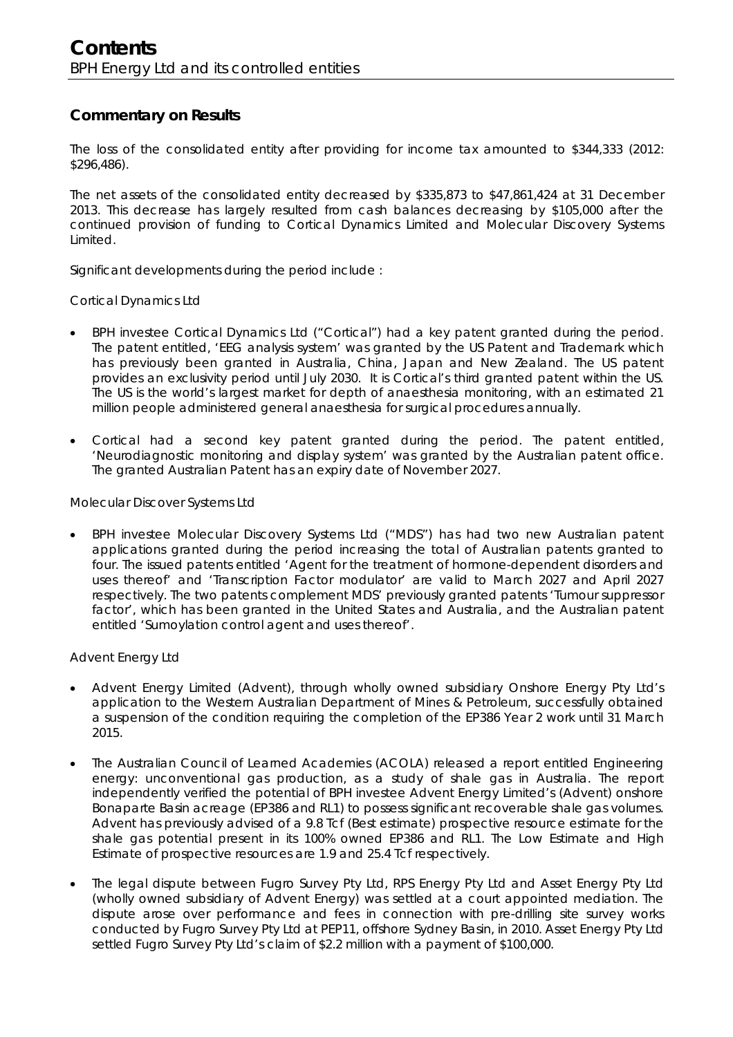## **Commentary on Results**

The loss of the consolidated entity after providing for income tax amounted to \$344,333 (2012: \$296,486).

The net assets of the consolidated entity decreased by \$335,873 to \$47,861,424 at 31 December 2013. This decrease has largely resulted from cash balances decreasing by \$105,000 after the continued provision of funding to Cortical Dynamics Limited and Molecular Discovery Systems Limited.

Significant developments during the period include :

Cortical Dynamics Ltd

- BPH investee Cortical Dynamics Ltd ("Cortical") had a key patent granted during the period. The patent entitled, 'EEG analysis system' was granted by the US Patent and Trademark which has previously been granted in Australia, China, Japan and New Zealand. The US patent provides an exclusivity period until July 2030. It is Cortical's third granted patent within the US. The US is the world's largest market for depth of anaesthesia monitoring, with an estimated 21 million people administered general anaesthesia for surgical procedures annually.
- Cortical had a second key patent granted during the period. The patent entitled, 'Neurodiagnostic monitoring and display system' was granted by the Australian patent office. The granted Australian Patent has an expiry date of November 2027.

Molecular Discover Systems Ltd

 BPH investee Molecular Discovery Systems Ltd ("MDS") has had two new Australian patent applications granted during the period increasing the total of Australian patents granted to four. The issued patents entitled 'Agent for the treatment of hormone-dependent disorders and uses thereof' and 'Transcription Factor modulator' are valid to March 2027 and April 2027 respectively. The two patents complement MDS' previously granted patents 'Tumour suppressor factor', which has been granted in the United States and Australia, and the Australian patent entitled 'Sumoylation control agent and uses thereof'.

Advent Energy Ltd

- Advent Energy Limited (Advent), through wholly owned subsidiary Onshore Energy Pty Ltd's application to the Western Australian Department of Mines & Petroleum, successfully obtained a suspension of the condition requiring the completion of the EP386 Year 2 work until 31 March 2015.
- The Australian Council of Learned Academies (ACOLA) released a report entitled Engineering energy: unconventional gas production, as a study of shale gas in Australia. The report independently verified the potential of BPH investee Advent Energy Limited's (Advent) onshore Bonaparte Basin acreage (EP386 and RL1) to possess significant recoverable shale gas volumes. Advent has previously advised of a 9.8 Tcf (Best estimate) prospective resource estimate for the shale gas potential present in its 100% owned EP386 and RL1. The Low Estimate and High Estimate of prospective resources are 1.9 and 25.4 Tcf respectively.
- The legal dispute between Fugro Survey Pty Ltd, RPS Energy Pty Ltd and Asset Energy Pty Ltd (wholly owned subsidiary of Advent Energy) was settled at a court appointed mediation. The dispute arose over performance and fees in connection with pre-drilling site survey works conducted by Fugro Survey Pty Ltd at PEP11, offshore Sydney Basin, in 2010. Asset Energy Pty Ltd settled Fugro Survey Pty Ltd's claim of \$2.2 million with a payment of \$100,000.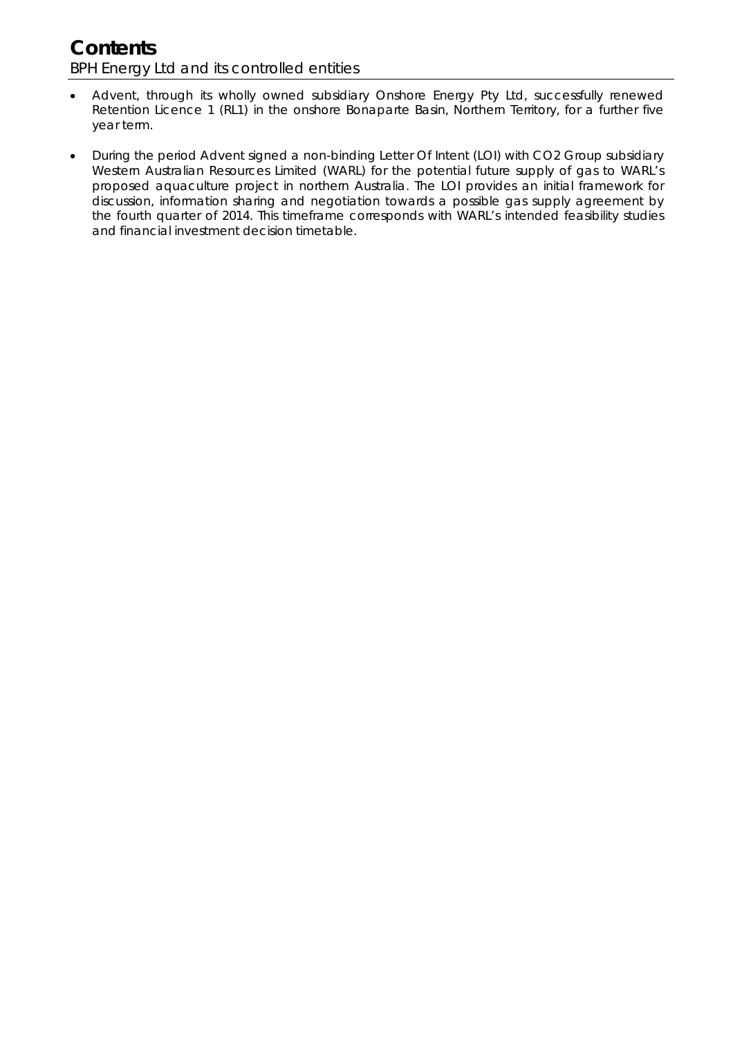# **Contents**  BPH Energy Ltd and its controlled entities

- Advent, through its wholly owned subsidiary Onshore Energy Pty Ltd, successfully renewed Retention Licence 1 (RL1) in the onshore Bonaparte Basin, Northern Territory, for a further five year term.
- During the period Advent signed a non-binding Letter Of Intent (LOI) with CO2 Group subsidiary Western Australian Resources Limited (WARL) for the potential future supply of gas to WARL's proposed aquaculture project in northern Australia. The LOI provides an initial framework for discussion, information sharing and negotiation towards a possible gas supply agreement by the fourth quarter of 2014. This timeframe corresponds with WARL's intended feasibility studies and financial investment decision timetable.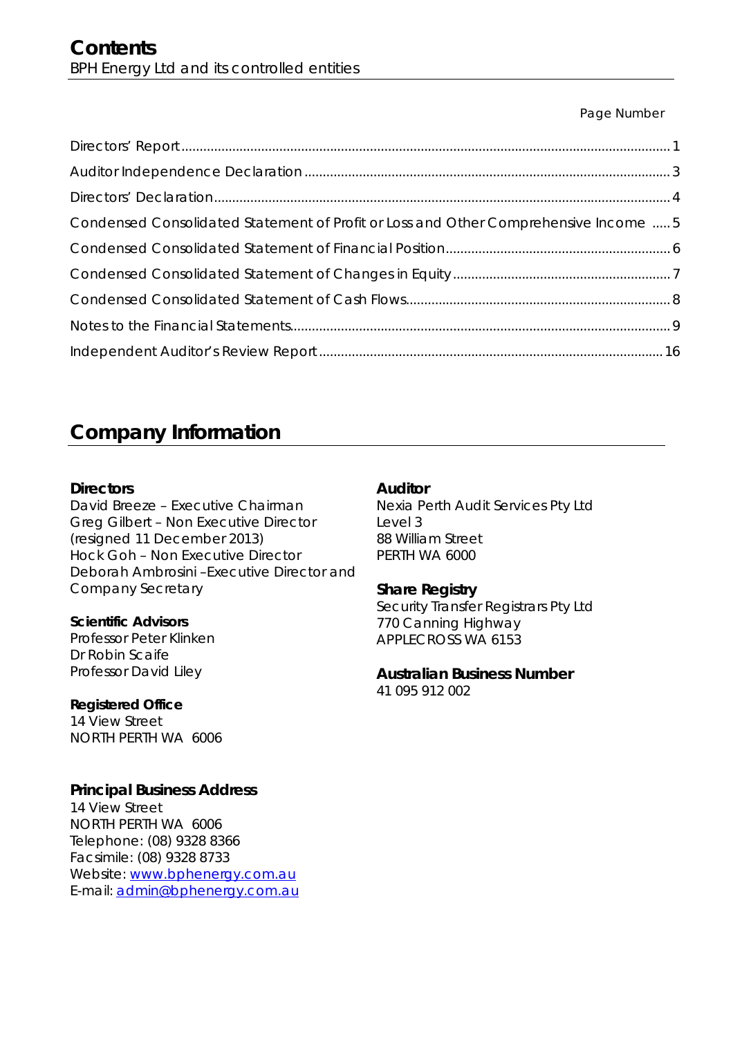## Page Number

| Condensed Consolidated Statement of Profit or Loss and Other Comprehensive Income  5 |  |
|--------------------------------------------------------------------------------------|--|
|                                                                                      |  |
|                                                                                      |  |
|                                                                                      |  |
|                                                                                      |  |
|                                                                                      |  |

# **Company Information**

## **Directors**

David Breeze – Executive Chairman Greg Gilbert – Non Executive Director (resigned 11 December 2013) Hock Goh – Non Executive Director Deborah Ambrosini –Executive Director and Company Secretary

## **Scientific Advisors**

Professor Peter Klinken Dr Robin Scaife Professor David Liley

## **Registered Office**

14 View Street NORTH PERTH WA 6006

## **Principal Business Address**

14 View Street NORTH PERTH WA 6006 Telephone: (08) 9328 8366 Facsimile: (08) 9328 8733 Website: www.bphenergy.com.au E-mail: admin@bphenergy.com.au

## **Auditor**

Nexia Perth Audit Services Pty Ltd Level 3 88 William Street PERTH WA 6000

## **Share Registry**

Security Transfer Registrars Pty Ltd 770 Canning Highway APPLECROSS WA 6153

# **Australian Business Number**

41 095 912 002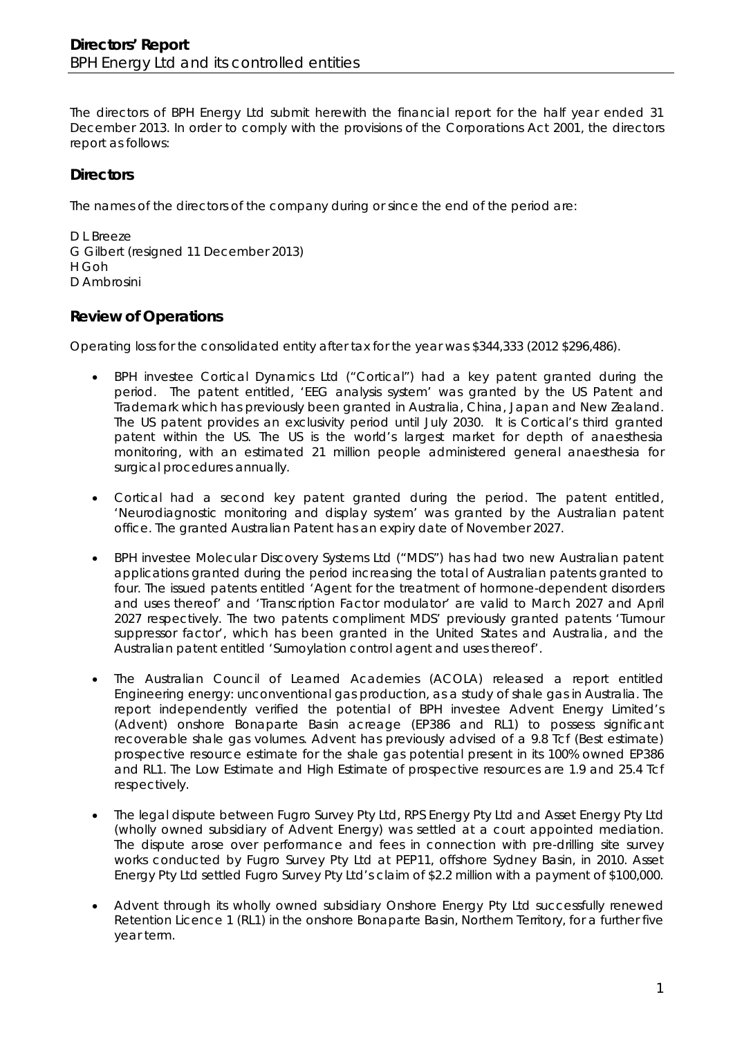The directors of BPH Energy Ltd submit herewith the financial report for the half year ended 31 December 2013. In order to comply with the provisions of the *Corporations Act 2001*, the directors report as follows:

# **Directors**

The names of the directors of the company during or since the end of the period are:

D L Breeze G Gilbert (resigned 11 December 2013) H Goh D Ambrosini

## **Review of Operations**

Operating loss for the consolidated entity after tax for the year was \$344,333 (2012 \$296,486).

- BPH investee Cortical Dynamics Ltd ("Cortical") had a key patent granted during the period. The patent entitled, 'EEG analysis system' was granted by the US Patent and Trademark which has previously been granted in Australia, China, Japan and New Zealand. The US patent provides an exclusivity period until July 2030. It is Cortical's third granted patent within the US. The US is the world's largest market for depth of anaesthesia monitoring, with an estimated 21 million people administered general anaesthesia for surgical procedures annually.
- Cortical had a second key patent granted during the period. The patent entitled, 'Neurodiagnostic monitoring and display system' was granted by the Australian patent office. The granted Australian Patent has an expiry date of November 2027.
- BPH investee Molecular Discovery Systems Ltd ("MDS") has had two new Australian patent applications granted during the period increasing the total of Australian patents granted to four. The issued patents entitled 'Agent for the treatment of hormone-dependent disorders and uses thereof' and 'Transcription Factor modulator' are valid to March 2027 and April 2027 respectively. The two patents compliment MDS' previously granted patents 'Tumour suppressor factor', which has been granted in the United States and Australia, and the Australian patent entitled 'Sumoylation control agent and uses thereof'.
- The Australian Council of Learned Academies (ACOLA) released a report entitled *Engineering energy: unconventional gas production, as a study of shale gas in Australia*. The report independently verified the potential of BPH investee Advent Energy Limited's (Advent) onshore Bonaparte Basin acreage (EP386 and RL1) to possess significant recoverable shale gas volumes. Advent has previously advised of a 9.8 Tcf (Best estimate) prospective resource estimate for the shale gas potential present in its 100% owned EP386 and RL1. The Low Estimate and High Estimate of prospective resources are 1.9 and 25.4 Tcf respectively.
- The legal dispute between Fugro Survey Pty Ltd, RPS Energy Pty Ltd and Asset Energy Pty Ltd (wholly owned subsidiary of Advent Energy) was settled at a court appointed mediation. The dispute arose over performance and fees in connection with pre-drilling site survey works conducted by Fugro Survey Pty Ltd at PEP11, offshore Sydney Basin, in 2010. Asset Energy Pty Ltd settled Fugro Survey Pty Ltd's claim of \$2.2 million with a payment of \$100,000.
- Advent through its wholly owned subsidiary Onshore Energy Pty Ltd successfully renewed Retention Licence 1 (RL1) in the onshore Bonaparte Basin, Northern Territory, for a further five year term.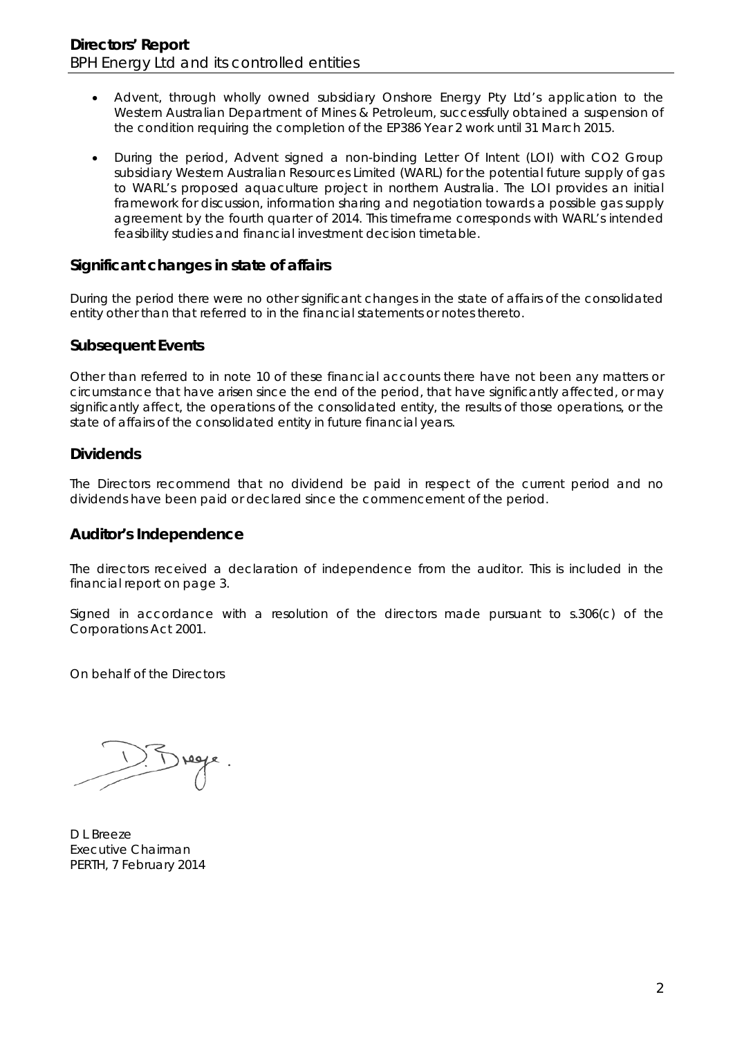- Advent, through wholly owned subsidiary Onshore Energy Pty Ltd's application to the Western Australian Department of Mines & Petroleum, successfully obtained a suspension of the condition requiring the completion of the EP386 Year 2 work until 31 March 2015.
- During the period, Advent signed a non-binding Letter Of Intent (LOI) with CO2 Group subsidiary Western Australian Resources Limited (WARL) for the potential future supply of gas to WARL's proposed aquaculture project in northern Australia. The LOI provides an initial framework for discussion, information sharing and negotiation towards a possible gas supply agreement by the fourth quarter of 2014. This timeframe corresponds with WARL's intended feasibility studies and financial investment decision timetable.

## **Significant changes in state of affairs**

During the period there were no other significant changes in the state of affairs of the consolidated entity other than that referred to in the financial statements or notes thereto.

## **Subsequent Events**

Other than referred to in note 10 of these financial accounts there have not been any matters or circumstance that have arisen since the end of the period, that have significantly affected, or may significantly affect, the operations of the consolidated entity, the results of those operations, or the state of affairs of the consolidated entity in future financial years.

## **Dividends**

The Directors recommend that no dividend be paid in respect of the current period and no dividends have been paid or declared since the commencement of the period.

### **Auditor's Independence**

The directors received a declaration of independence from the auditor. This is included in the financial report on page 3.

Signed in accordance with a resolution of the directors made pursuant to s.306(c) of the *Corporations Act 2001*.

On behalf of the Directors

D L Breeze Executive Chairman PERTH, 7 February 2014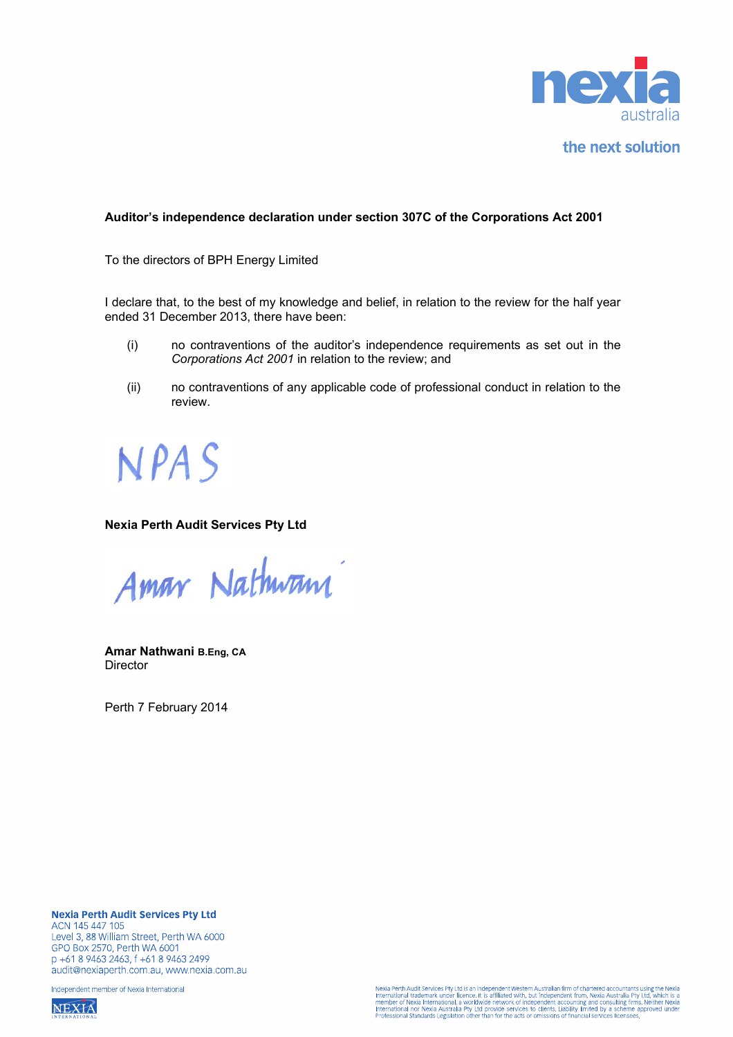

the next solution

#### **Auditor's independence declaration under section 307C of the Corporations Act 2001**

To the directors of BPH Energy Limited

I declare that, to the best of my knowledge and belief, in relation to the review for the half year ended 31 December 2013, there have been:

- (i) no contraventions of the auditor's independence requirements as set out in the *Corporations Act 2001* in relation to the review; and
- (ii) no contraventions of any applicable code of professional conduct in relation to the review.

**NPAS** 

#### **Nexia Perth Audit Services Pty Ltd**

Amar Nathwam

**Amar Nathwani B.Eng, CA Director** 

Perth 7 February 2014

**Nexia Perth Audit Services Pty Ltd** ACN 145 447 105 Level 3, 88 William Street, Perth WA 6000 GPO Box 2570, Perth WA 6001 p +61 8 9463 2463, f +61 8 9463 2499 audit@nexiaperth.com.au, www.nexia.com.au

Independent member of Nexia International

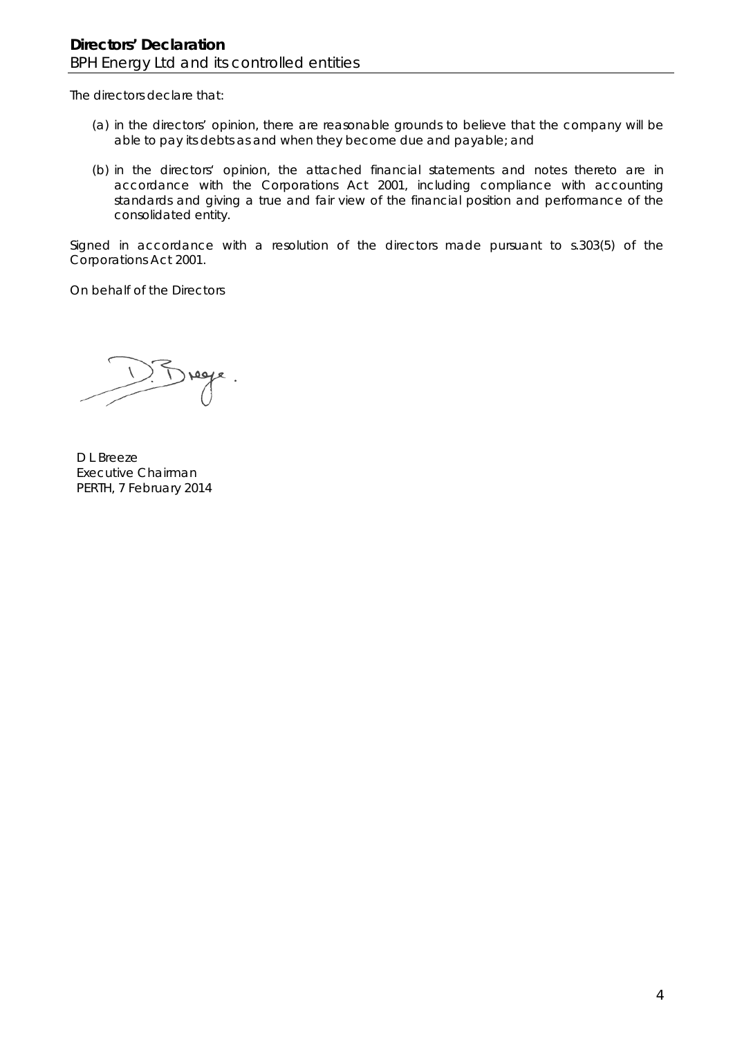The directors declare that:

- (a) in the directors' opinion, there are reasonable grounds to believe that the company will be able to pay its debts as and when they become due and payable; and
- (b) in the directors' opinion, the attached financial statements and notes thereto are in accordance with the *Corporations Act 2001*, including compliance with accounting standards and giving a true and fair view of the financial position and performance of the consolidated entity.

Signed in accordance with a resolution of the directors made pursuant to s.303(5) of the *Corporations Act 2001*.

On behalf of the Directors

Jrege

D L Breeze Executive Chairman PERTH, 7 February 2014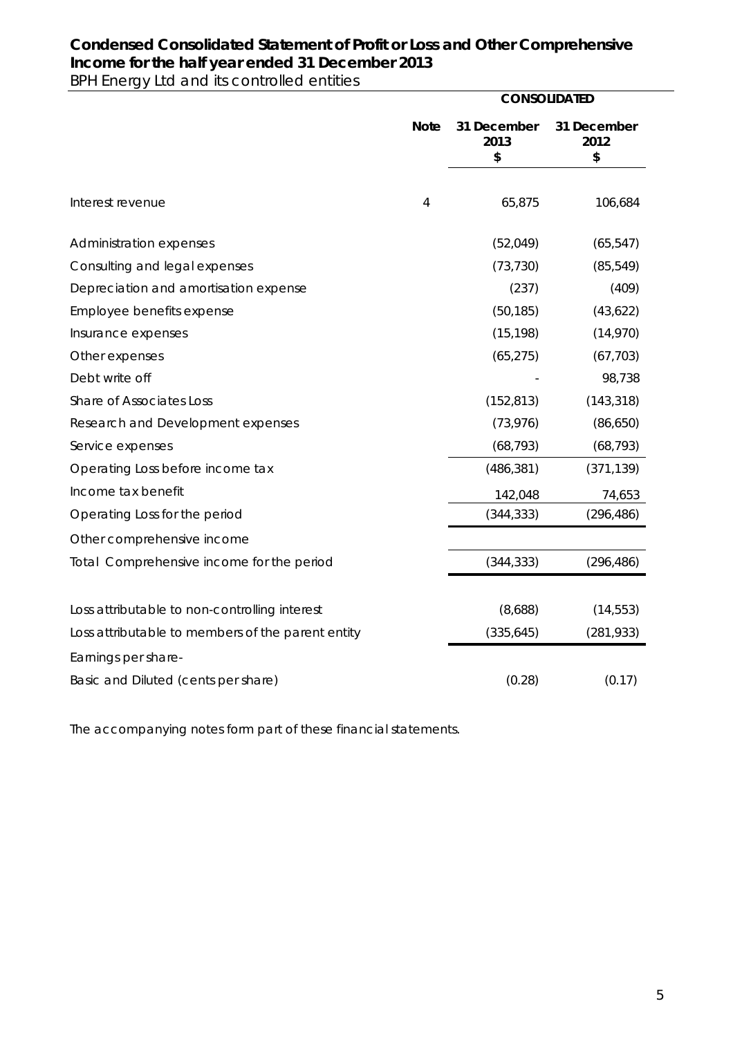# **Condensed Consolidated Statement of Profit or Loss and Other Comprehensive Income for the half year ended 31 December 2013**

BPH Energy Ltd and its controlled entities

|                                                   |             | <b>CONSOLIDATED</b>       |                           |
|---------------------------------------------------|-------------|---------------------------|---------------------------|
|                                                   | <b>Note</b> | 31 December<br>2013<br>\$ | 31 December<br>2012<br>\$ |
|                                                   |             |                           |                           |
| Interest revenue                                  | 4           | 65,875                    | 106,684                   |
| Administration expenses                           |             | (52,049)                  | (65, 547)                 |
| Consulting and legal expenses                     |             | (73, 730)                 | (85, 549)                 |
| Depreciation and amortisation expense             |             | (237)                     | (409)                     |
| Employee benefits expense                         |             | (50, 185)                 | (43, 622)                 |
| Insurance expenses                                |             | (15, 198)                 | (14,970)                  |
| Other expenses                                    |             | (65, 275)                 | (67, 703)                 |
| Debt write off                                    |             |                           | 98,738                    |
| Share of Associates Loss                          |             | (152, 813)                | (143, 318)                |
| Research and Development expenses                 |             | (73, 976)                 | (86, 650)                 |
| Service expenses                                  |             | (68, 793)                 | (68, 793)                 |
| Operating Loss before income tax                  |             | (486, 381)                | (371, 139)                |
| Income tax benefit                                |             | 142,048                   | 74,653                    |
| Operating Loss for the period                     |             | (344, 333)                | (296, 486)                |
| Other comprehensive income                        |             |                           |                           |
| Total Comprehensive income for the period         |             | (344, 333)                | (296, 486)                |
| Loss attributable to non-controlling interest     |             | (8,688)                   | (14, 553)                 |
| Loss attributable to members of the parent entity |             | (335, 645)                | (281, 933)                |
| Earnings per share-                               |             |                           |                           |
| Basic and Diluted (cents per share)               |             | (0.28)                    | (0.17)                    |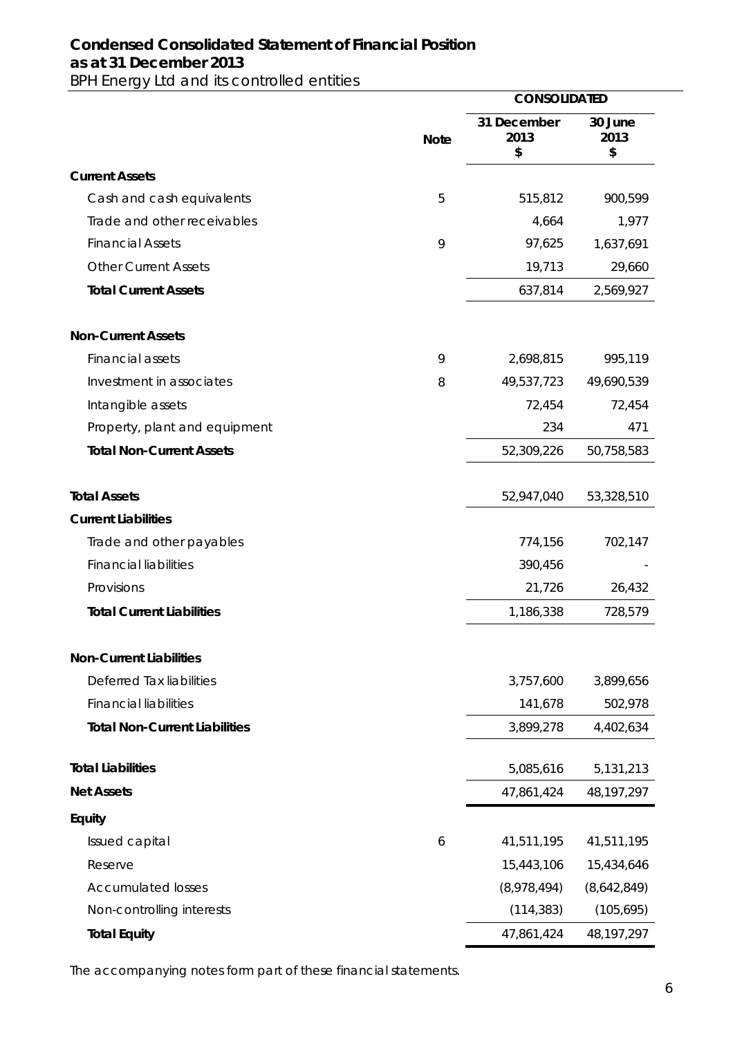## **Condensed Consolidated Statement of Financial Position as at 31 December 2013**  BPH Energy Ltd and its controlled entities

 **CONSOLIDATED Note 31 December 2013 \$ 30 June 2013 \$ Current Assets**  Cash and cash equivalents 6 5 515,812 900,599 Trade and other receivables and the state 4,664 1,977 Financial Assets 9 97,625 1,637,691 Other Current Assets 29,660 *Total Current Assets* 637,814 2,569,927 **Non-Current Assets**  Financial assets 9 2,698,815 995,119 Investment in associates 8 49,537,723 49,690,539 Intangible assets 72,454 72,454 Property, plant and equipment 234 471 *Total Non-Current Assets* 52,309,226 50,758,583 *Total Assets* 52,947,040 53,328,510 **Current Liabilities**  Trade and other payables Trade and other payables Financial liabilities 390,456 Provisions 21,726 26,432 *Total Current Liabilities* 1,186,338 728,579 **Non-Current Liabilities**  Deferred Tax liabilities 3,757,600 3,899,656 Financial liabilities 141,678 502,978 *Total Non-Current Liabilities* 3,899,278 4,402,634 *Total Liabilities* 5,085,616 5,131,213 *Net Assets* 47,861,424 48,197,297 **Equity**  Issued capital 6 41,511,195 41,511,195 Reserve 15,443,106 15,434,646 Accumulated losses (8,978,494) (8,642,849) Non-controlling interests (114,383) (105,695) *Total Equity* 47,861,424 48,197,297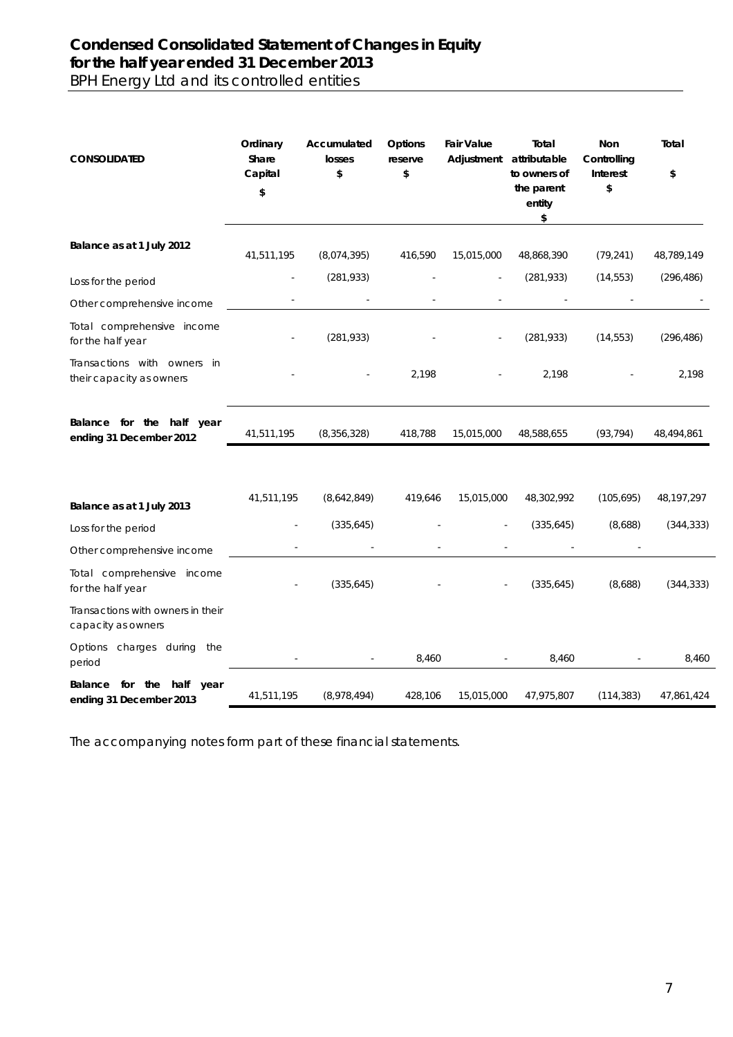## **Condensed Consolidated Statement of Changes in Equity for the half year ended 31 December 2013**  BPH Energy Ltd and its controlled entities

| <b>CONSOLIDATED</b>                                                           | Ordinary<br>Share<br>Capital<br>\$ | Accumulated<br>losses<br>\$ | Options<br>reserve<br>\$ | <b>Fair Value</b><br>Adjustment | Total<br>attributable<br>to owners of<br>the parent<br>entity<br>\$ | Non<br>Controlling<br>Interest<br>\$ | Total<br>\$  |
|-------------------------------------------------------------------------------|------------------------------------|-----------------------------|--------------------------|---------------------------------|---------------------------------------------------------------------|--------------------------------------|--------------|
| Balance as at 1 July 2012                                                     | 41,511,195                         | (8,074,395)                 | 416,590                  | 15,015,000                      | 48,868,390                                                          | (79, 241)                            | 48,789,149   |
| Loss for the period                                                           |                                    | (281, 933)                  |                          |                                 | (281, 933)                                                          | (14, 553)                            | (296, 486)   |
| Other comprehensive income                                                    |                                    |                             |                          |                                 |                                                                     |                                      |              |
| Total comprehensive income<br>for the half year                               |                                    | (281, 933)                  |                          |                                 | (281, 933)                                                          | (14, 553)                            | (296, 486)   |
| Transactions with owners in<br>their capacity as owners                       |                                    |                             | 2,198                    |                                 | 2,198                                                               |                                      | 2,198        |
| Balance for the half year<br>ending 31 December 2012                          | 41,511,195                         | (8,356,328)                 | 418,788                  | 15,015,000                      | 48,588,655                                                          | (93, 794)                            | 48,494,861   |
| Balance as at 1 July 2013                                                     | 41,511,195                         | (8,642,849)                 | 419,646                  | 15,015,000                      | 48,302,992                                                          | (105, 695)                           | 48, 197, 297 |
| Loss for the period                                                           |                                    | (335, 645)                  |                          |                                 | (335, 645)                                                          | (8,688)                              | (344, 333)   |
| Other comprehensive income<br>Total comprehensive income<br>for the half year |                                    | (335, 645)                  |                          |                                 | (335, 645)                                                          | (8,688)                              | (344, 333)   |
| Transactions with owners in their<br>capacity as owners                       |                                    |                             |                          |                                 |                                                                     |                                      |              |
| Options charges during the<br>period                                          |                                    |                             | 8,460                    |                                 | 8,460                                                               |                                      | 8,460        |
| Balance for the half<br>year<br>ending 31 December 2013                       | 41,511,195                         | (8,978,494)                 | 428,106                  | 15,015,000                      | 47,975,807                                                          | (114, 383)                           | 47,861,424   |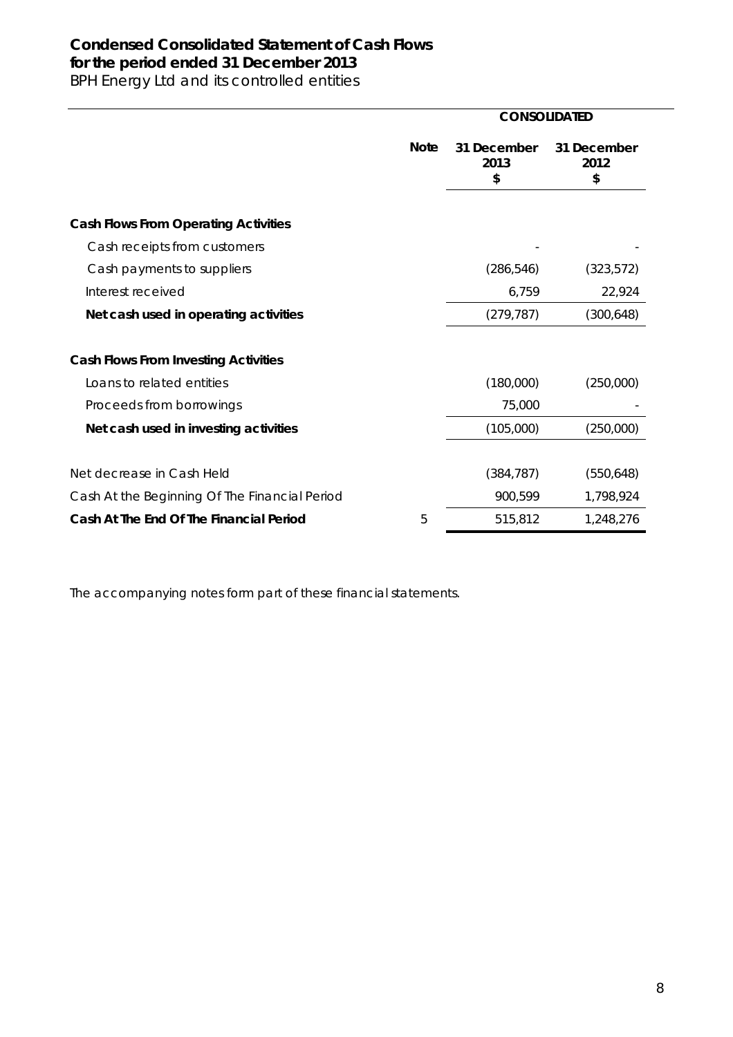# **Condensed Consolidated Statement of Cash Flows for the period ended 31 December 2013**

BPH Energy Ltd and its controlled entities

|                                               |             | <b>CONSOLIDATED</b>       |                           |
|-----------------------------------------------|-------------|---------------------------|---------------------------|
|                                               | <b>Note</b> | 31 December<br>2013<br>\$ | 31 December<br>2012<br>\$ |
| <b>Cash Flows From Operating Activities</b>   |             |                           |                           |
| Cash receipts from customers                  |             |                           |                           |
| Cash payments to suppliers                    |             | (286, 546)                | (323, 572)                |
| Interest received                             |             | 6,759                     | 22,924                    |
| Net cash used in operating activities         |             | (279, 787)                | (300, 648)                |
| <b>Cash Flows From Investing Activities</b>   |             |                           |                           |
| Loans to related entities                     |             | (180,000)                 | (250,000)                 |
| Proceeds from borrowings                      |             | 75,000                    |                           |
| Net cash used in investing activities         |             | (105,000)                 | (250,000)                 |
| Net decrease in Cash Held                     |             | (384, 787)                | (550, 648)                |
| Cash At the Beginning Of The Financial Period |             | 900,599                   | 1,798,924                 |
| Cash At The End Of The Financial Period       | 5           | 515,812                   | 1,248,276                 |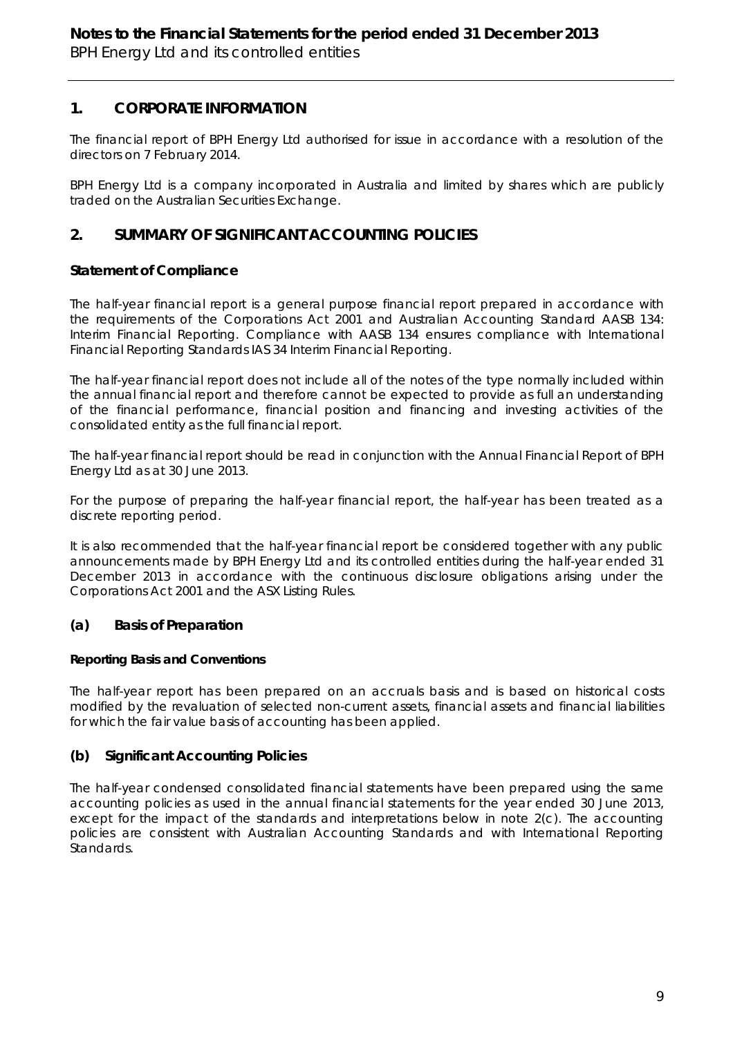## **1. CORPORATE INFORMATION**

The financial report of BPH Energy Ltd authorised for issue in accordance with a resolution of the directors on 7 February 2014.

BPH Energy Ltd is a company incorporated in Australia and limited by shares which are publicly traded on the Australian Securities Exchange.

## **2. SUMMARY OF SIGNIFICANT ACCOUNTING POLICIES**

## **Statement of Compliance**

The half-year financial report is a general purpose financial report prepared in accordance with the requirements of the *Corporations Act 2001* and Australian Accounting Standard AASB 134: Interim Financial Reporting. Compliance with AASB 134 ensures compliance with International Financial Reporting Standards IAS 34 Interim Financial Reporting.

The half-year financial report does not include all of the notes of the type normally included within the annual financial report and therefore cannot be expected to provide as full an understanding of the financial performance, financial position and financing and investing activities of the consolidated entity as the full financial report.

The half-year financial report should be read in conjunction with the Annual Financial Report of BPH Energy Ltd as at 30 June 2013.

For the purpose of preparing the half-year financial report, the half-year has been treated as a discrete reporting period.

It is also recommended that the half-year financial report be considered together with any public announcements made by BPH Energy Ltd and its controlled entities during the half-year ended 31 December 2013 in accordance with the continuous disclosure obligations arising under the *Corporations Act 2001* and the ASX Listing Rules.

### **(a) Basis of Preparation**

### **Reporting Basis and Conventions**

The half-year report has been prepared on an accruals basis and is based on historical costs modified by the revaluation of selected non-current assets, financial assets and financial liabilities for which the fair value basis of accounting has been applied.

### **(b) Significant Accounting Policies**

The half-year condensed consolidated financial statements have been prepared using the same accounting policies as used in the annual financial statements for the year ended 30 June 2013, except for the impact of the standards and interpretations below in note 2(c). The accounting policies are consistent with Australian Accounting Standards and with International Reporting Standards.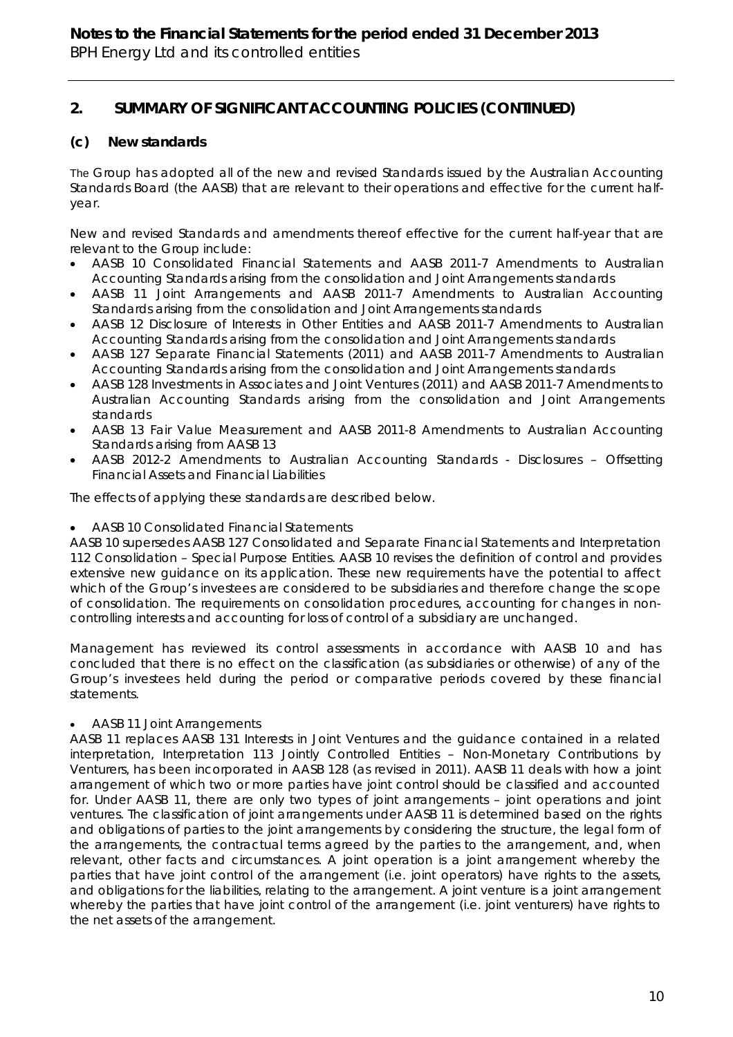# **2. SUMMARY OF SIGNIFICANT ACCOUNTING POLICIES (CONTINUED)**

## **(c) New standards**

The Group has adopted all of the new and revised Standards issued by the Australian Accounting Standards Board (the AASB) that are relevant to their operations and effective for the current halfyear.

New and revised Standards and amendments thereof effective for the current half-year that are relevant to the Group include:

- AASB 10 Consolidated Financial Statements and AASB 2011-7 Amendments to Australian Accounting Standards arising from the consolidation and Joint Arrangements standards
- AASB 11 Joint Arrangements and AASB 2011-7 Amendments to Australian Accounting Standards arising from the consolidation and Joint Arrangements standards
- AASB 12 Disclosure of Interests in Other Entities and AASB 2011-7 Amendments to Australian Accounting Standards arising from the consolidation and Joint Arrangements standards
- AASB 127 Separate Financial Statements (2011) and AASB 2011-7 Amendments to Australian Accounting Standards arising from the consolidation and Joint Arrangements standards
- AASB 128 Investments in Associates and Joint Ventures (2011) and AASB 2011-7 Amendments to Australian Accounting Standards arising from the consolidation and Joint Arrangements standards
- AASB 13 Fair Value Measurement and AASB 2011-8 Amendments to Australian Accounting Standards arising from AASB 13
- AASB 2012-2 Amendments to Australian Accounting Standards Disclosures Offsetting Financial Assets and Financial Liabilities

The effects of applying these standards are described below.

### AASB 10 Consolidated Financial Statements

AASB 10 supersedes AASB 127 Consolidated and Separate Financial Statements and Interpretation 112 Consolidation – Special Purpose Entities. AASB 10 revises the definition of control and provides extensive new guidance on its application. These new requirements have the potential to affect which of the Group's investees are considered to be subsidiaries and therefore change the scope of consolidation. The requirements on consolidation procedures, accounting for changes in noncontrolling interests and accounting for loss of control of a subsidiary are unchanged.

Management has reviewed its control assessments in accordance with AASB 10 and has concluded that there is no effect on the classification (as subsidiaries or otherwise) of any of the Group's investees held during the period or comparative periods covered by these financial statements.

### AASB 11 Joint Arrangements

AASB 11 replaces AASB 131 Interests in Joint Ventures and the guidance contained in a related interpretation, Interpretation 113 Jointly Controlled Entities – Non-Monetary Contributions by Venturers, has been incorporated in AASB 128 (as revised in 2011). AASB 11 deals with how a joint arrangement of which two or more parties have joint control should be classified and accounted for. Under AASB 11, there are only two types of joint arrangements – joint operations and joint ventures. The classification of joint arrangements under AASB 11 is determined based on the rights and obligations of parties to the joint arrangements by considering the structure, the legal form of the arrangements, the contractual terms agreed by the parties to the arrangement, and, when relevant, other facts and circumstances. A joint operation is a joint arrangement whereby the parties that have joint control of the arrangement (i.e. joint operators) have rights to the assets, and obligations for the liabilities, relating to the arrangement. A joint venture is a joint arrangement whereby the parties that have joint control of the arrangement (i.e. joint venturers) have rights to the net assets of the arrangement.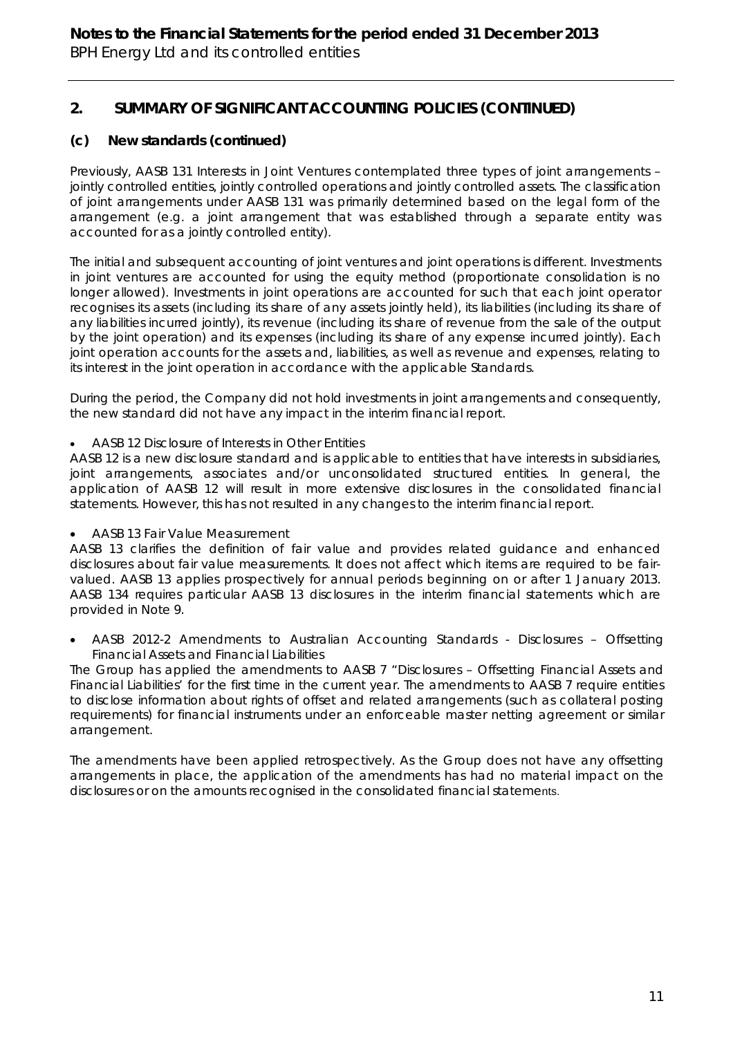# **2. SUMMARY OF SIGNIFICANT ACCOUNTING POLICIES (CONTINUED)**

## **(c) New standards (continued)**

Previously, AASB 131 Interests in Joint Ventures contemplated three types of joint arrangements – jointly controlled entities, jointly controlled operations and jointly controlled assets. The classification of joint arrangements under AASB 131 was primarily determined based on the legal form of the arrangement (e.g. a joint arrangement that was established through a separate entity was accounted for as a jointly controlled entity).

The initial and subsequent accounting of joint ventures and joint operations is different. Investments in joint ventures are accounted for using the equity method (proportionate consolidation is no longer allowed). Investments in joint operations are accounted for such that each joint operator recognises its assets (including its share of any assets jointly held), its liabilities (including its share of any liabilities incurred jointly), its revenue (including its share of revenue from the sale of the output by the joint operation) and its expenses (including its share of any expense incurred jointly). Each joint operation accounts for the assets and, liabilities, as well as revenue and expenses, relating to its interest in the joint operation in accordance with the applicable Standards.

During the period, the Company did not hold investments in joint arrangements and consequently, the new standard did not have any impact in the interim financial report.

AASB 12 Disclosure of Interests in Other Entities

AASB 12 is a new disclosure standard and is applicable to entities that have interests in subsidiaries, joint arrangements, associates and/or unconsolidated structured entities. In general, the application of AASB 12 will result in more extensive disclosures in the consolidated financial statements. However, this has not resulted in any changes to the interim financial report.

AASB 13 Fair Value Measurement

AASB 13 clarifies the definition of fair value and provides related guidance and enhanced disclosures about fair value measurements. It does not affect which items are required to be fairvalued. AASB 13 applies prospectively for annual periods beginning on or after 1 January 2013. AASB 134 requires particular AASB 13 disclosures in the interim financial statements which are provided in Note 9.

 AASB 2012-2 Amendments to Australian Accounting Standards - Disclosures – Offsetting Financial Assets and Financial Liabilities

The Group has applied the amendments to AASB 7 "Disclosures – Offsetting Financial Assets and Financial Liabilities' for the first time in the current year. The amendments to AASB 7 require entities to disclose information about rights of offset and related arrangements (such as collateral posting requirements) for financial instruments under an enforceable master netting agreement or similar arrangement.

The amendments have been applied retrospectively. As the Group does not have any offsetting arrangements in place, the application of the amendments has had no material impact on the disclosures or on the amounts recognised in the consolidated financial statements.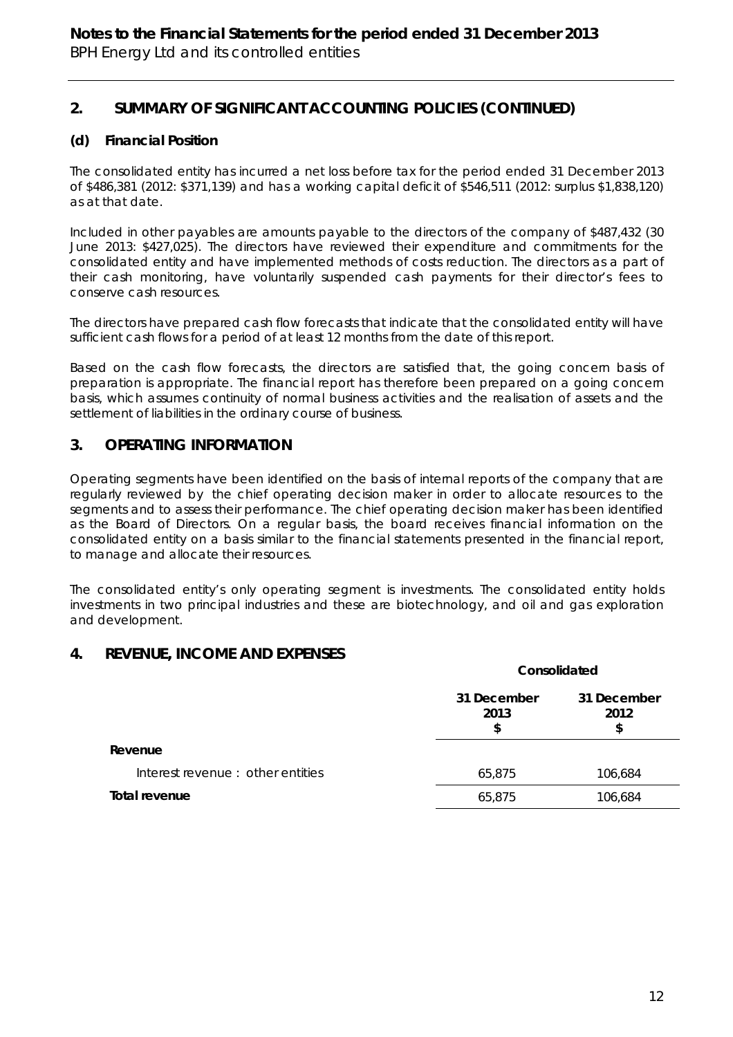# **2. SUMMARY OF SIGNIFICANT ACCOUNTING POLICIES (CONTINUED)**

## **(d) Financial Position**

The consolidated entity has incurred a net loss before tax for the period ended 31 December 2013 of \$486,381 (2012: \$371,139) and has a working capital deficit of \$546,511 (2012: surplus \$1,838,120) as at that date.

Included in other payables are amounts payable to the directors of the company of \$487,432 (30 June 2013: \$427,025). The directors have reviewed their expenditure and commitments for the consolidated entity and have implemented methods of costs reduction. The directors as a part of their cash monitoring, have voluntarily suspended cash payments for their director's fees to conserve cash resources.

The directors have prepared cash flow forecasts that indicate that the consolidated entity will have sufficient cash flows for a period of at least 12 months from the date of this report.

Based on the cash flow forecasts, the directors are satisfied that, the going concern basis of preparation is appropriate. The financial report has therefore been prepared on a going concern basis, which assumes continuity of normal business activities and the realisation of assets and the settlement of liabilities in the ordinary course of business.

## **3. OPERATING INFORMATION**

Operating segments have been identified on the basis of internal reports of the company that are regularly reviewed by the chief operating decision maker in order to allocate resources to the segments and to assess their performance. The chief operating decision maker has been identified as the Board of Directors. On a regular basis, the board receives financial information on the consolidated entity on a basis similar to the financial statements presented in the financial report, to manage and allocate their resources.

The consolidated entity's only operating segment is investments. The consolidated entity holds investments in two principal industries and these are biotechnology, and oil and gas exploration and development.

## **4. REVENUE, INCOME AND EXPENSES**

|                                  | Consolidated              |                           |  |
|----------------------------------|---------------------------|---------------------------|--|
|                                  | 31 December<br>2013<br>\$ | 31 December<br>2012<br>\$ |  |
| Revenue                          |                           |                           |  |
| Interest revenue: other entities | 65,875                    | 106,684                   |  |
| Total revenue                    | 65,875                    | 106,684                   |  |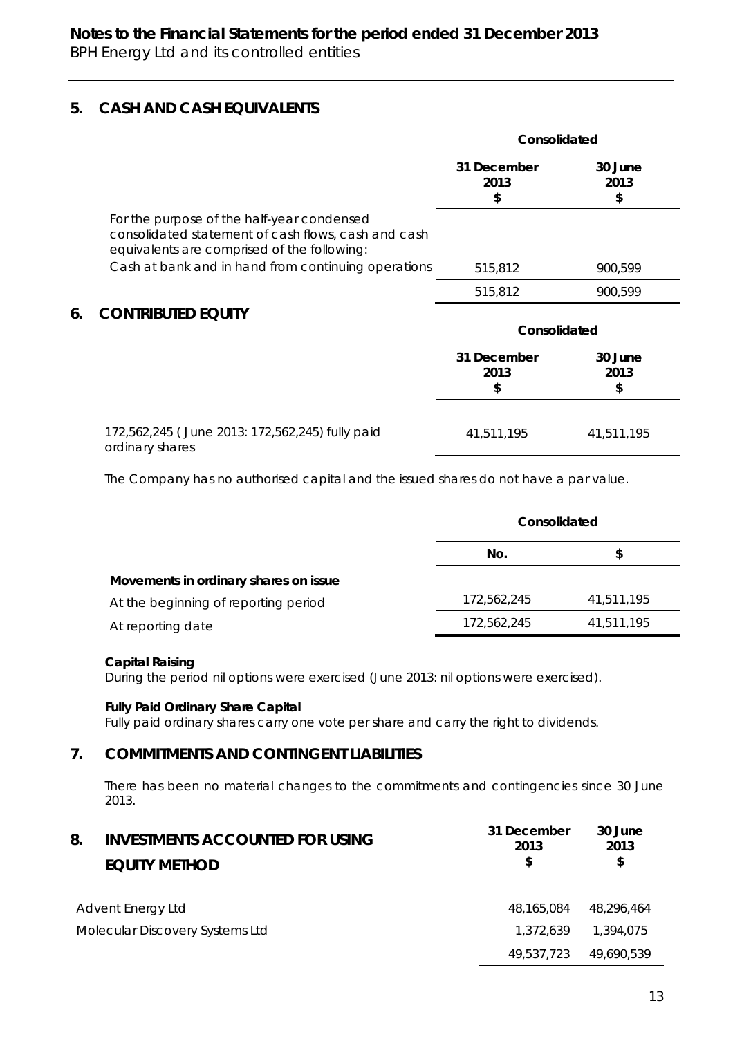## **5. CASH AND CASH EQUIVALENTS**

|    |                                                                                                                                                  | Consolidated              |                       |
|----|--------------------------------------------------------------------------------------------------------------------------------------------------|---------------------------|-----------------------|
|    |                                                                                                                                                  | 31 December<br>2013<br>\$ | 30 June<br>2013<br>\$ |
|    | For the purpose of the half-year condensed<br>consolidated statement of cash flows, cash and cash<br>equivalents are comprised of the following: |                           |                       |
|    | Cash at bank and in hand from continuing operations                                                                                              | 515,812                   | 900,599               |
|    |                                                                                                                                                  | 515,812                   | 900,599               |
| 6. | <b>CONTRIBUTED EQUITY</b>                                                                                                                        |                           |                       |
|    |                                                                                                                                                  | Consolidated              |                       |
|    |                                                                                                                                                  | 31 December<br>2013<br>\$ | 30 June<br>2013<br>\$ |
|    | 172,562,245 (June 2013: 172,562,245) fully paid<br>ordinary shares                                                                               | 41,511,195                | 41,511,195            |

The Company has no authorised capital and the issued shares do not have a par value.

|                                       |             | Consolidated |  |  |
|---------------------------------------|-------------|--------------|--|--|
|                                       | No.         | S            |  |  |
| Movements in ordinary shares on issue |             |              |  |  |
| At the beginning of reporting period  | 172,562,245 | 41,511,195   |  |  |
| At reporting date                     | 172,562,245 | 41,511,195   |  |  |

### **Capital Raising**

During the period nil options were exercised (June 2013: nil options were exercised).

#### **Fully Paid Ordinary Share Capital**

Fully paid ordinary shares carry one vote per share and carry the right to dividends.

## **7. COMMITMENTS AND CONTINGENT LIABILITIES**

There has been no material changes to the commitments and contingencies since 30 June 2013.

| 8.                              | <b>INVESTMENTS ACCOUNTED FOR USING</b><br><b>EQUITY METHOD</b> | 31 December<br>2013<br>\$ | 30 June<br>2013<br>\$ |
|---------------------------------|----------------------------------------------------------------|---------------------------|-----------------------|
| Advent Energy Ltd               |                                                                | 48.165.084                | 48.296.464            |
| Molecular Discovery Systems Ltd |                                                                | 1,372,639                 | 1,394,075             |
|                                 |                                                                | 49.537.723                | 49.690.539            |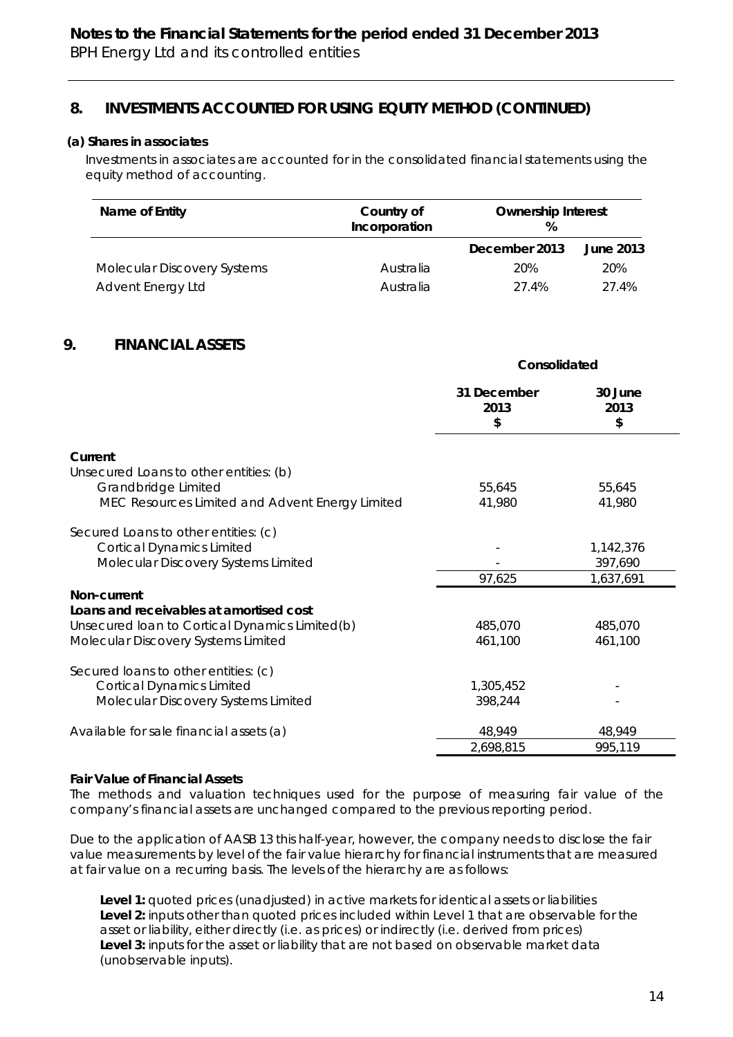## **8. INVESTMENTS ACCOUNTED FOR USING EQUITY METHOD (CONTINUED)**

#### *(a) Shares in associates*

 Investments in associates are accounted for in the consolidated financial statements using the equity method of accounting.

| Name of Entity              | Country of<br>Incorporation | <b>Ownership Interest</b><br>% |           |
|-----------------------------|-----------------------------|--------------------------------|-----------|
|                             |                             | December 2013                  | June 2013 |
| Molecular Discovery Systems | Australia                   | 20%                            | 20%       |
| Advent Energy Ltd           | Australia                   | 27.4%                          | 27.4%     |

## **9. FINANCIAL ASSETS**

|                                                 | Consolidated              |                       |
|-------------------------------------------------|---------------------------|-----------------------|
|                                                 | 31 December<br>2013<br>\$ | 30 June<br>2013<br>\$ |
| Current                                         |                           |                       |
| Unsecured Loans to other entities: (b)          |                           |                       |
| Grandbridge Limited                             | 55,645                    | 55,645                |
| MEC Resources Limited and Advent Energy Limited | 41,980                    | 41,980                |
| Secured Loans to other entities: (c)            |                           |                       |
| <b>Cortical Dynamics Limited</b>                |                           | 1,142,376             |
| Molecular Discovery Systems Limited             |                           | 397,690               |
|                                                 | 97,625                    | 1,637,691             |
| Non-current                                     |                           |                       |
| Loans and receivables at amortised cost         |                           |                       |
| Unsecured Ioan to Cortical Dynamics Limited(b)  | 485,070                   | 485,070               |
| Molecular Discovery Systems Limited             | 461,100                   | 461,100               |
| Secured loans to other entities: (c)            |                           |                       |
| <b>Cortical Dynamics Limited</b>                | 1,305,452                 |                       |
| Molecular Discovery Systems Limited             | 398,244                   |                       |
| Available for sale financial assets (a)         | 48,949                    | 48,949                |
|                                                 | 2,698,815                 | 995,119               |

#### **Fair Value of Financial Assets**

The methods and valuation techniques used for the purpose of measuring fair value of the company's financial assets are unchanged compared to the previous reporting period.

Due to the application of AASB 13 this half-year, however, the company needs to disclose the fair value measurements by level of the fair value hierarchy for financial instruments that are measured at fair value on a recurring basis. The levels of the hierarchy are as follows:

**Level 1:** quoted prices (unadjusted) in active markets for identical assets or liabilities **Level 2:** inputs other than quoted prices included within Level 1 that are observable for the asset or liability, either directly (i.e. as prices) or indirectly (i.e. derived from prices) **Level 3:** inputs for the asset or liability that are not based on observable market data (unobservable inputs).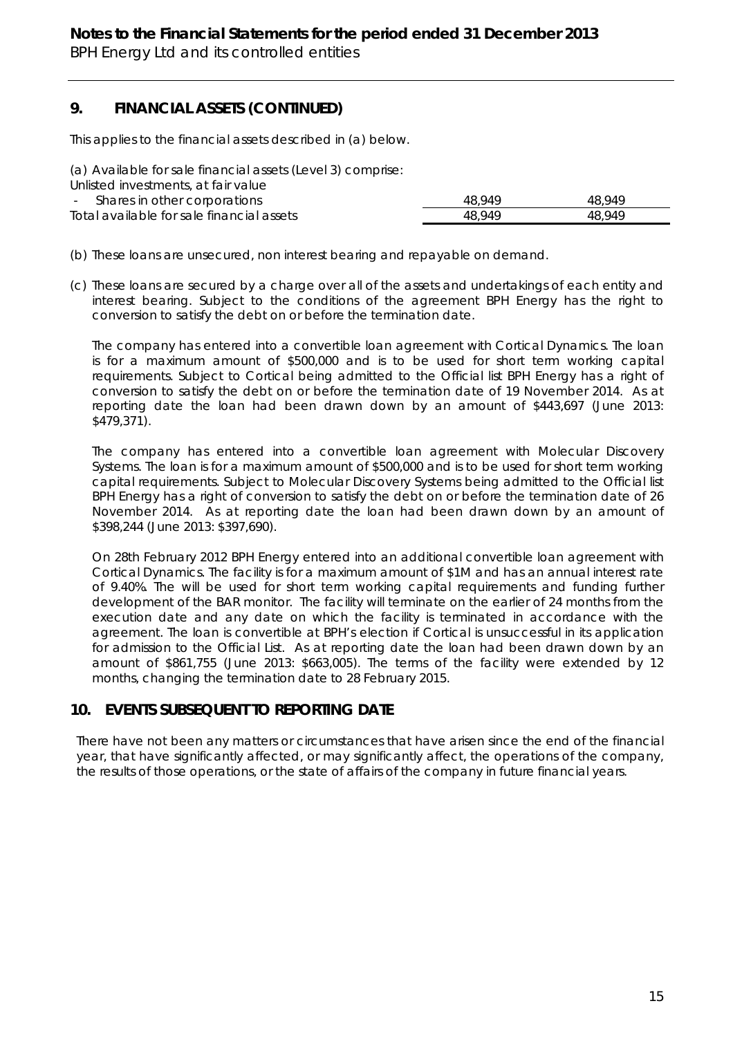## **9. FINANCIAL ASSETS (CONTINUED)**

This applies to the financial assets described in (a) below.

(a) Available for sale financial assets (Level 3) comprise:

Unlisted investments, at fair value

| Shares in other corporations              | 48.949 | 48.949 |
|-------------------------------------------|--------|--------|
| Total available for sale financial assets | 48.949 | 48.949 |

- (b) These loans are unsecured, non interest bearing and repayable on demand.
- (c) These loans are secured by a charge over all of the assets and undertakings of each entity and interest bearing. Subject to the conditions of the agreement BPH Energy has the right to conversion to satisfy the debt on or before the termination date.

The company has entered into a convertible loan agreement with Cortical Dynamics. The loan is for a maximum amount of \$500,000 and is to be used for short term working capital requirements. Subject to Cortical being admitted to the Official list BPH Energy has a right of conversion to satisfy the debt on or before the termination date of 19 November 2014. As at reporting date the loan had been drawn down by an amount of \$443,697 (June 2013: \$479,371).

The company has entered into a convertible loan agreement with Molecular Discovery Systems. The loan is for a maximum amount of \$500,000 and is to be used for short term working capital requirements. Subject to Molecular Discovery Systems being admitted to the Official list BPH Energy has a right of conversion to satisfy the debt on or before the termination date of 26 November 2014. As at reporting date the loan had been drawn down by an amount of \$398,244 (June 2013: \$397,690).

On 28th February 2012 BPH Energy entered into an additional convertible loan agreement with Cortical Dynamics. The facility is for a maximum amount of \$1M and has an annual interest rate of 9.40%. The will be used for short term working capital requirements and funding further development of the BAR monitor. The facility will terminate on the earlier of 24 months from the execution date and any date on which the facility is terminated in accordance with the agreement. The loan is convertible at BPH's election if Cortical is unsuccessful in its application for admission to the Official List. As at reporting date the loan had been drawn down by an amount of \$861,755 (June 2013: \$663,005). The terms of the facility were extended by 12 months, changing the termination date to 28 February 2015.

## **10. EVENTS SUBSEQUENT TO REPORTING DATE**

There have not been any matters or circumstances that have arisen since the end of the financial year, that have significantly affected, or may significantly affect, the operations of the company, the results of those operations, or the state of affairs of the company in future financial years.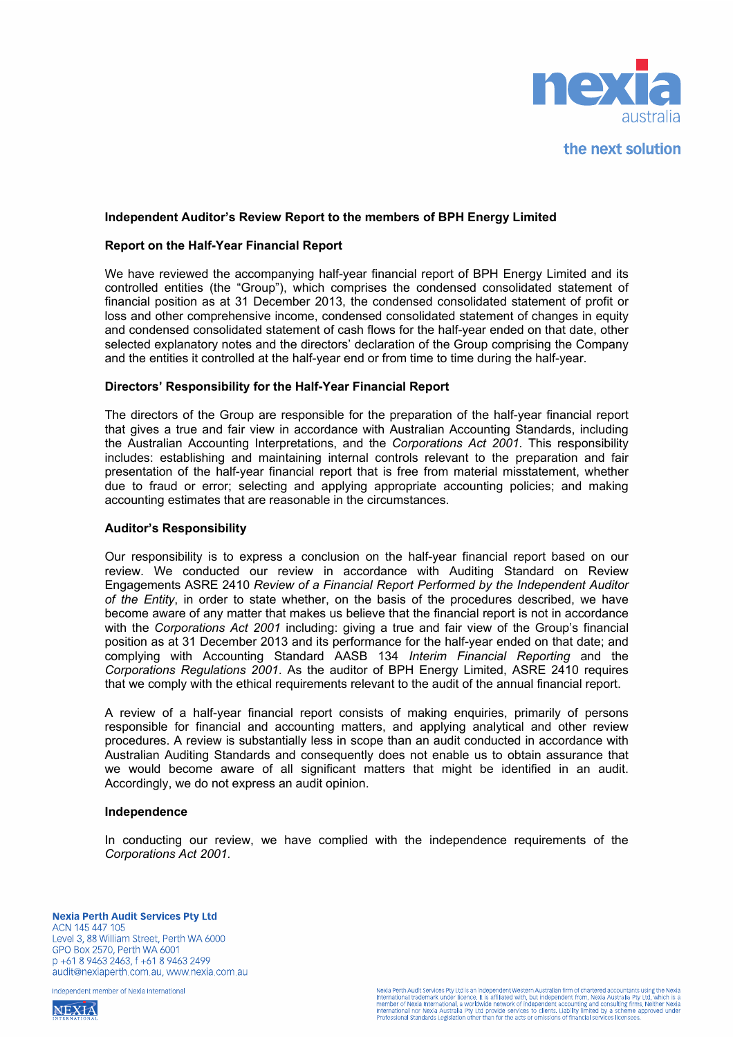

the next solution

#### **Independent Auditor's Review Report to the members of BPH Energy Limited**

#### **Report on the Half-Year Financial Report**

We have reviewed the accompanying half-year financial report of BPH Energy Limited and its controlled entities (the "Group"), which comprises the condensed consolidated statement of financial position as at 31 December 2013, the condensed consolidated statement of profit or loss and other comprehensive income, condensed consolidated statement of changes in equity and condensed consolidated statement of cash flows for the half-year ended on that date, other selected explanatory notes and the directors' declaration of the Group comprising the Company and the entities it controlled at the half-year end or from time to time during the half-year.

#### **Directors' Responsibility for the Half-Year Financial Report**

The directors of the Group are responsible for the preparation of the half-year financial report that gives a true and fair view in accordance with Australian Accounting Standards, including the Australian Accounting Interpretations, and the *Corporations Act 2001.* This responsibility includes: establishing and maintaining internal controls relevant to the preparation and fair presentation of the half-year financial report that is free from material misstatement, whether due to fraud or error; selecting and applying appropriate accounting policies; and making accounting estimates that are reasonable in the circumstances.

#### **Auditor's Responsibility**

Our responsibility is to express a conclusion on the half-year financial report based on our review. We conducted our review in accordance with Auditing Standard on Review Engagements ASRE 2410 *Review of a Financial Report Performed by the Independent Auditor of the Entity*, in order to state whether, on the basis of the procedures described, we have become aware of any matter that makes us believe that the financial report is not in accordance with the *Corporations Act 2001* including: giving a true and fair view of the Group's financial position as at 31 December 2013 and its performance for the half-year ended on that date; and complying with Accounting Standard AASB 134 *Interim Financial Reporting* and the *Corporations Regulations 2001*. As the auditor of BPH Energy Limited, ASRE 2410 requires that we comply with the ethical requirements relevant to the audit of the annual financial report.

A review of a half-year financial report consists of making enquiries, primarily of persons responsible for financial and accounting matters, and applying analytical and other review procedures. A review is substantially less in scope than an audit conducted in accordance with Australian Auditing Standards and consequently does not enable us to obtain assurance that we would become aware of all significant matters that might be identified in an audit. Accordingly, we do not express an audit opinion.

#### **Independence**

In conducting our review, we have complied with the independence requirements of the *Corporations Act 2001.* 

Independent member of Nexia International